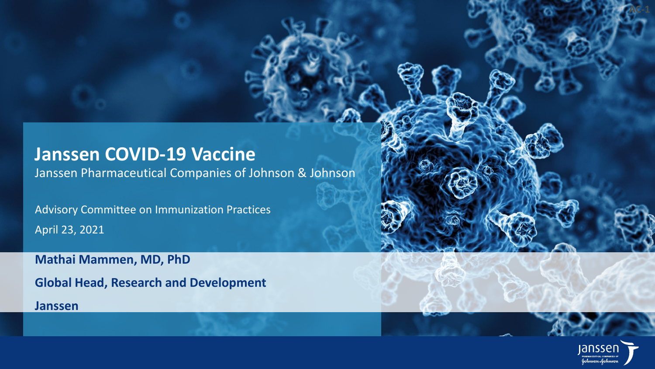## **Janssen COVID-19 Vaccine**

Janssen Pharmaceutical Companies of Johnson & Johnson

Advisory Committee on Immunization Practices April 23, 2021

**Mathai Mammen, MD, PhD**

**Global Head, Research and Development**

**Janssen**



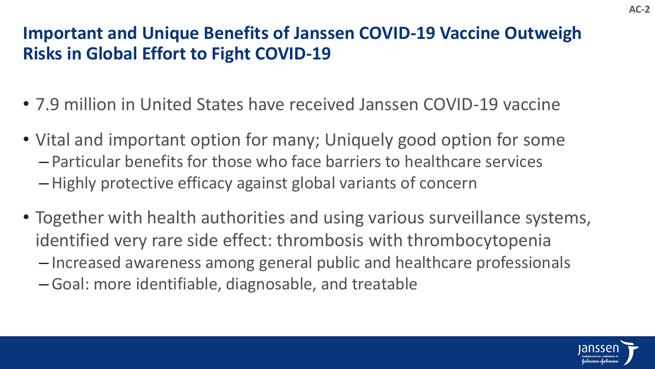## **Important and Unique Benefits of Janssen COVID-19 Vaccine Outweigh Risks in Global Effort to Fight COVID-19**

- 7.9 million in United States have received Janssen COVID-19 vaccine
- Vital and important option for many; Uniquely good option for some – Particular benefits for those who face barriers to healthcare services – Highly protective efficacy against global variants of concern
- Together with health authorities and using various surveillance systems, identified very rare side effect: thrombosis with thrombocytopenia
	- Increased awareness among general public and healthcare professionals
	- Goal: more identifiable, diagnosable, and treatable

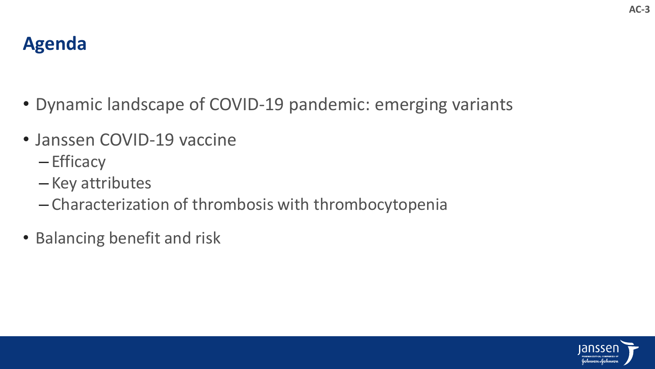

- Dynamic landscape of COVID-19 pandemic: emerging variants
- Janssen COVID-19 vaccine
	- Efficacy
	- Key attributes
	- Characterization of thrombosis with thrombocytopenia
- Balancing benefit and risk



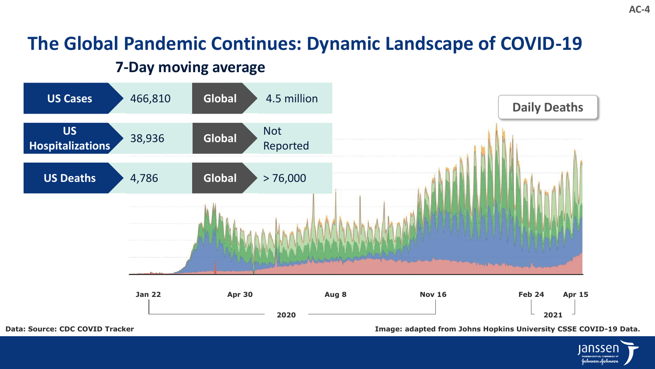## **The Global Pandemic Continues: Dynamic Landscape of COVID-19**

## **7-Day moving average**



**Data: Source: CDC COVID Tracker Image: adapted from Johns Hopkins University CSSE COVID-19 Data.**

iansser Johnson-Johnson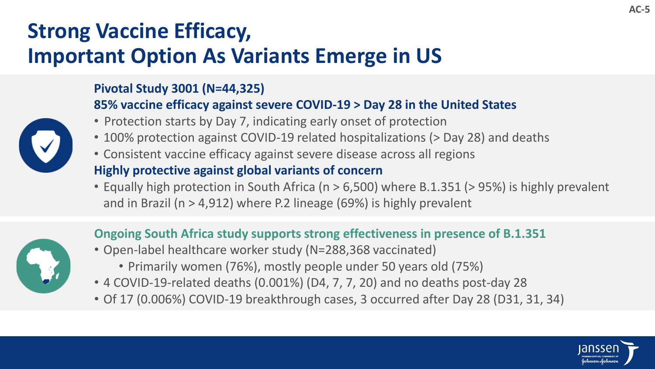# **Strong Vaccine Efficacy, Important Option As Variants Emerge in US**

#### **Pivotal Study 3001 (N=44,325)**

#### **85% vaccine efficacy against severe COVID-19 > Day 28 in the United States**

- Protection starts by Day 7, indicating early onset of protection
- 100% protection against COVID-19 related hospitalizations (> Day 28) and deaths
- Consistent vaccine efficacy against severe disease across all regions

#### **Highly protective against global variants of concern**

• Equally high protection in South Africa (n > 6,500) where B.1.351 (> 95%) is highly prevalent and in Brazil (n > 4,912) where P.2 lineage (69%) is highly prevalent

### **Ongoing South Africa study supports strong effectiveness in presence of B.1.351**

- Open-label healthcare worker study (N=288,368 vaccinated)
	- Primarily women (76%), mostly people under 50 years old (75%)
- 4 COVID-19-related deaths (0.001%) (D4, 7, 7, 20) and no deaths post-day 28
- Of 17 (0.006%) COVID-19 breakthrough cases, 3 occurred after Day 28 (D31, 31, 34)

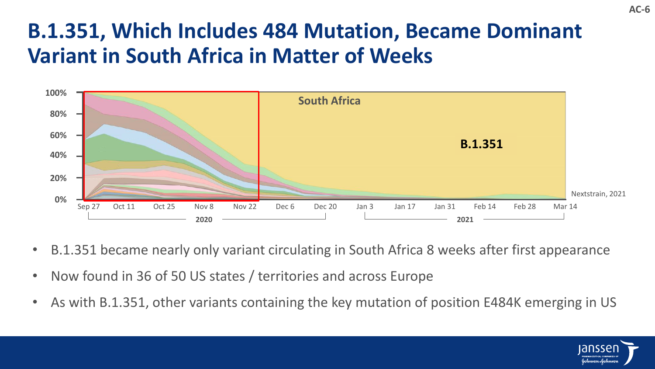# **B.1.351, Which Includes 484 Mutation, Became Dominant Variant in South Africa in Matter of Weeks**



- B.1.351 became nearly only variant circulating in South Africa 8 weeks after first appearance
- Now found in 36 of 50 US states / territories and across Europe
- As with B.1.351, other variants containing the key mutation of position E484K emerging in US

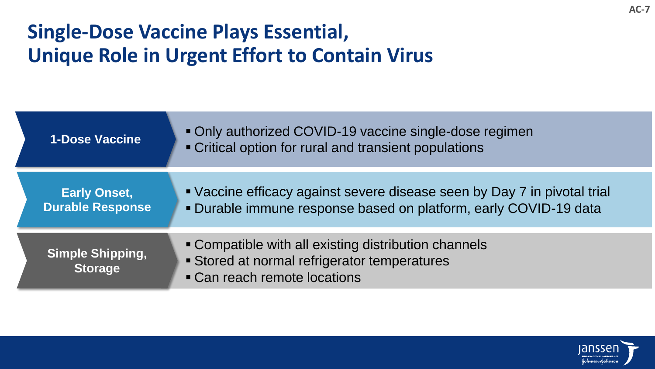# **Single-Dose Vaccine Plays Essential, Unique Role in Urgent Effort to Contain Virus**

| <b>1-Dose Vaccine</b>                          | Only authorized COVID-19 vaccine single-dose regimen<br>• Critical option for rural and transient populations                              |
|------------------------------------------------|--------------------------------------------------------------------------------------------------------------------------------------------|
| <b>Early Onset,</b><br><b>Durable Response</b> | • Vaccine efficacy against severe disease seen by Day 7 in pivotal trial<br>Durable immune response based on platform, early COVID-19 data |
| <b>Simple Shipping,</b><br><b>Storage</b>      | • Compatible with all existing distribution channels<br>Stored at normal refrigerator temperatures<br>• Can reach remote locations         |

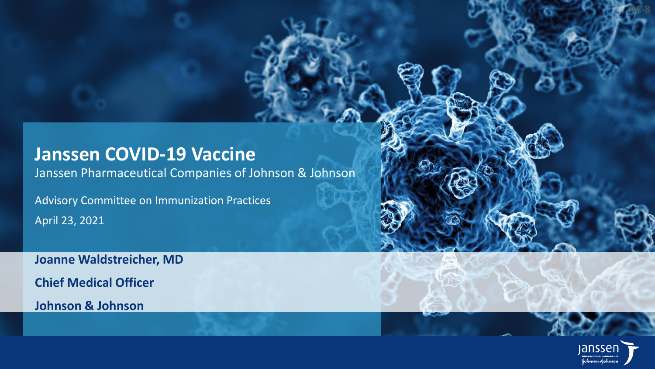## **Janssen COVID-19 Vaccine**

Janssen Pharmaceutical Companies of Johnson & Johnson

Advisory Committee on Immunization Practices April 23, 2021

**Joanne Waldstreicher, MD Chief Medical Officer Johnson & Johnson**



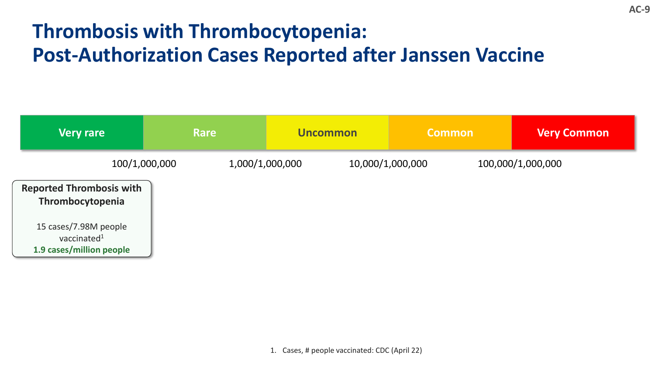# **Thrombosis with Thrombocytopenia: Post-Authorization Cases Reported after Janssen Vaccine**

| <b>Very rare</b>                                                    | <b>Rare</b>   | <b>Uncommon</b> | <b>Common</b>                         | <b>Very Common</b> |
|---------------------------------------------------------------------|---------------|-----------------|---------------------------------------|--------------------|
|                                                                     | 100/1,000,000 | 1,000/1,000,000 | 10,000/1,000,000<br>100,000/1,000,000 |                    |
| <b>Reported Thrombosis with</b><br>Thrombocytopenia                 |               |                 |                                       |                    |
| 15 cases/7.98M people<br>vaccinated $1$<br>1.9 cases/million people |               |                 |                                       |                    |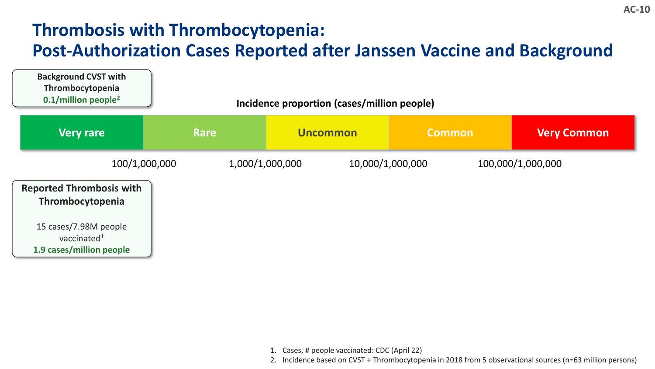## **Thrombosis with Thrombocytopenia: Post-Authorization Cases Reported after Janssen Vaccine and Background**



- 1. Cases, # people vaccinated: CDC (April 22)
- 2. Incidence based on CVST + Thrombocytopenia in 2018 from 5 observational sources (n=63 million persons)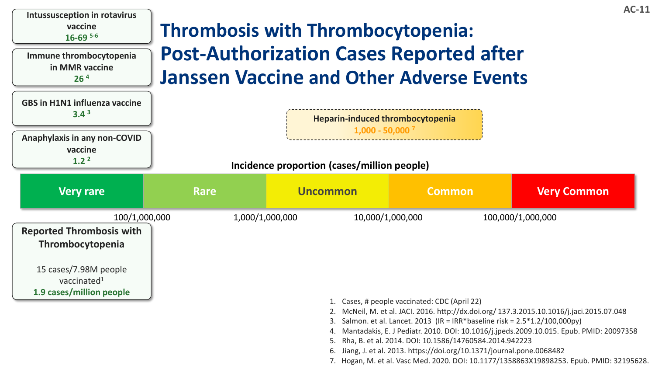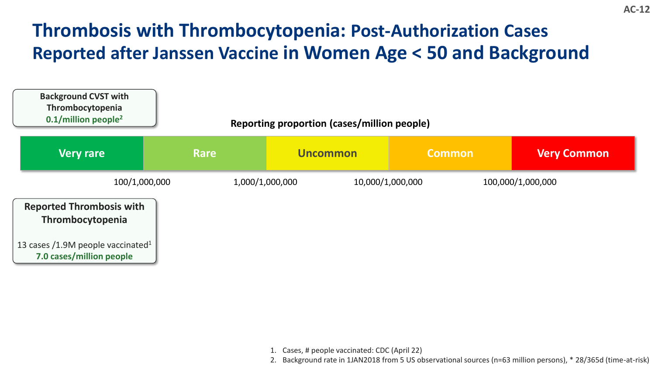## **Thrombosis with Thrombocytopenia: Post-Authorization Cases Reported after Janssen Vaccine in Women Age < 50 and Background**



- 1. Cases, # people vaccinated: CDC (April 22)
- 2. Background rate in 1JAN2018 from 5 US observational sources (n=63 million persons), \* 28/365d (time-at-risk)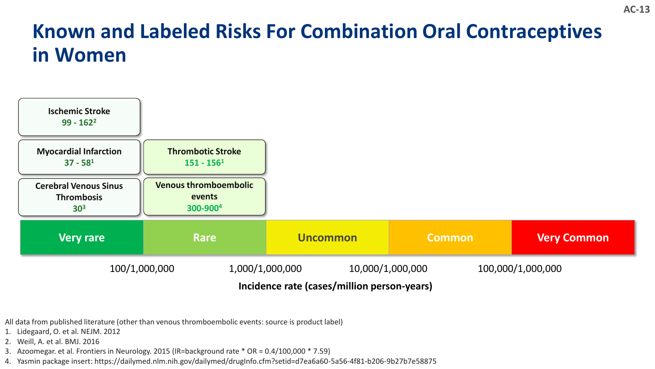# **Known and Labeled Risks For Combination Oral Contraceptives in Women**



All data from published literature (other than venous thromboembolic events: source is product label)

- 1. Lidegaard, O. et al. NEJM. 2012
- 2. Weill, A. et al. BMJ. 2016
- 3. Azoomegar. et al. Frontiers in Neurology. 2015 (IR=background rate \* OR = 0.4/100,000 \* 7.59)
- 4. Yasmin package insert: https://dailymed.nlm.nih.gov/dailymed/drugInfo.cfm?setid=d7ea6a60-5a56-4f81-b206-9b27b7e58875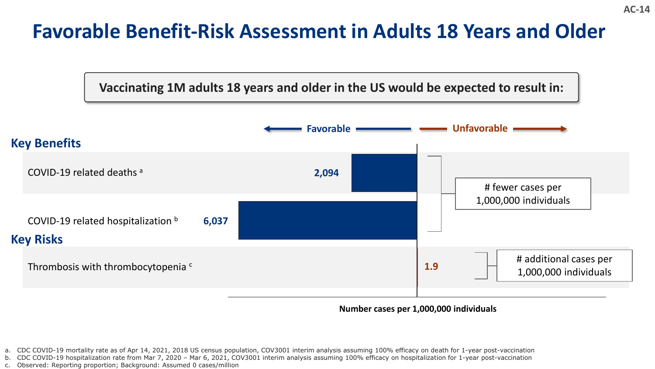## **Favorable Benefit-Risk Assessment in Adults 18 Years and Older**

#### **Vaccinating 1M adults 18 years and older in the US would be expected to result in:**



**1400 CONDER 1,000,000 DISPONDER 1,000,000 individuals** 

- a. CDC COVID-19 mortality rate as of Apr 14, 2021, 2018 US census population, COV3001 interim analysis assuming 100% efficacy on death for 1-year post-vaccination
- b. CDC COVID-19 hospitalization rate from Mar 7, 2020 Mar 6, 2021, COV3001 interim analysis assuming 100% efficacy on hospitalization for 1-year post-vaccination
- c. Observed: Reporting proportion; Background: Assumed 0 cases/million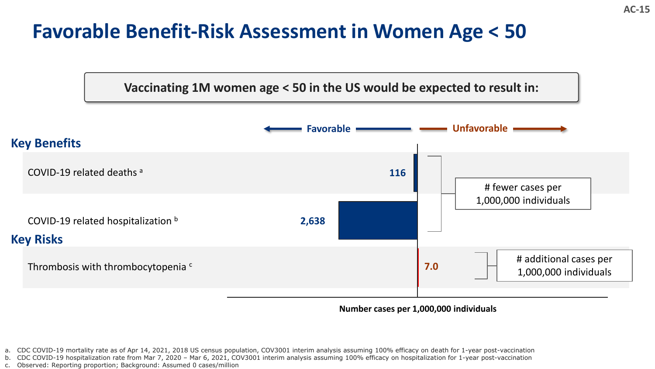## **Favorable Benefit-Risk Assessment in Women Age < 50**

**Vaccinating 1M women age < 50 in the US would be expected to result in:**



**-6400 -4400 -2400 Number cases per 1,000,000 individuals -400 1600 3600 5600**

- a. CDC COVID-19 mortality rate as of Apr 14, 2021, 2018 US census population, COV3001 interim analysis assuming 100% efficacy on death for 1-year post-vaccination
- b. CDC COVID-19 hospitalization rate from Mar 7, 2020 Mar 6, 2021, COV3001 interim analysis assuming 100% efficacy on hospitalization for 1-year post-vaccination
- c. Observed: Reporting proportion; Background: Assumed 0 cases/million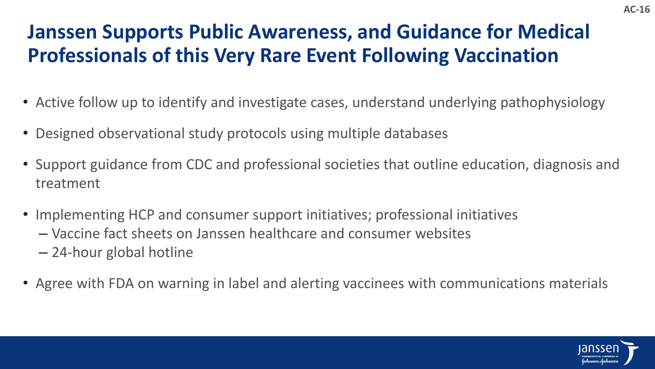# **Janssen Supports Public Awareness, and Guidance for Medical Professionals of this Very Rare Event Following Vaccination**

- Active follow up to identify and investigate cases, understand underlying pathophysiology
- Designed observational study protocols using multiple databases
- Support guidance from CDC and professional societies that outline education, diagnosis and treatment
- Implementing HCP and consumer support initiatives; professional initiatives
	- Vaccine fact sheets on Janssen healthcare and consumer websites
	- 24-hour global hotline
- Agree with FDA on warning in label and alerting vaccinees with communications materials

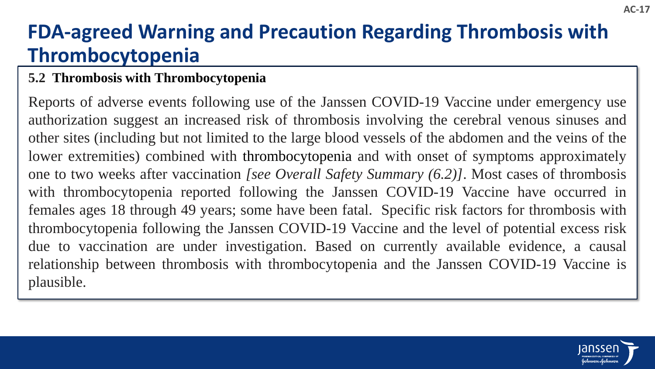# **FDA-agreed Warning and Precaution Regarding Thrombosis with Thrombocytopenia**

## **5.2 Thrombosis with Thrombocytopenia**

Reports of adverse events following use of the Janssen COVID-19 Vaccine under emergency use authorization suggest an increased risk of thrombosis involving the cerebral venous sinuses and other sites (including but not limited to the large blood vessels of the abdomen and the veins of the lower extremities) combined with thrombocytopenia and with onset of symptoms approximately one to two weeks after vaccination *[see Overall Safety Summary (6.2)]*. Most cases of thrombosis with thrombocytopenia reported following the Janssen COVID-19 Vaccine have occurred in females ages 18 through 49 years; some have been fatal. Specific risk factors for thrombosis with thrombocytopenia following the Janssen COVID-19 Vaccine and the level of potential excess risk due to vaccination are under investigation. Based on currently available evidence, a causal relationship between thrombosis with thrombocytopenia and the Janssen COVID-19 Vaccine is plausible.

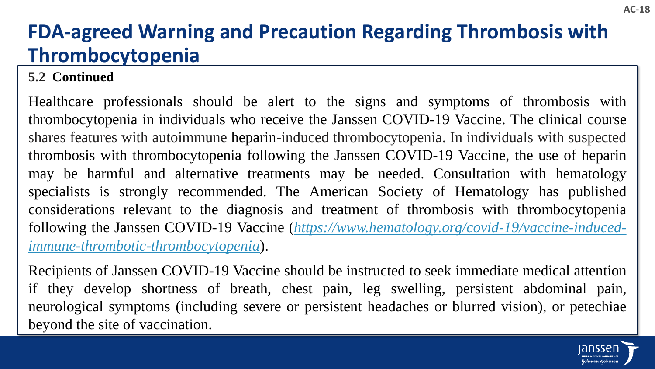# **FDA-agreed Warning and Precaution Regarding Thrombosis with Thrombocytopenia**

## **5.2 Continued**

Healthcare professionals should be alert to the signs and symptoms of thrombosis with thrombocytopenia in individuals who receive the Janssen COVID-19 Vaccine. The clinical course shares features with autoimmune heparin-induced thrombocytopenia. In individuals with suspected thrombosis with thrombocytopenia following the Janssen COVID-19 Vaccine, the use of heparin may be harmful and alternative treatments may be needed. Consultation with hematology specialists is strongly recommended. The American Society of Hematology has published considerations relevant to the diagnosis and treatment of thrombosis with thrombocytopenia following the Janssen COVID-19 Vaccine (*[https://www.hematology.org/covid-19/vaccine-induced](https://www.hematology.org/covid-19/vaccine-induced-immune-thrombotic-thrombocytopenia)immune-thrombotic-thrombocytopenia*).

Recipients of Janssen COVID-19 Vaccine should be instructed to seek immediate medical attention if they develop shortness of breath, chest pain, leg swelling, persistent abdominal pain, neurological symptoms (including severe or persistent headaches or blurred vision), or petechiae beyond the site of vaccination.

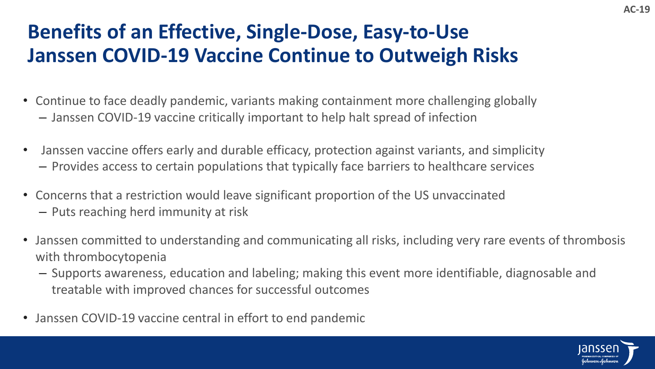# **Benefits of an Effective, Single-Dose, Easy-to-Use Janssen COVID-19 Vaccine Continue to Outweigh Risks**

- Continue to face deadly pandemic, variants making containment more challenging globally
	- Janssen COVID-19 vaccine critically important to help halt spread of infection
- Janssen vaccine offers early and durable efficacy, protection against variants, and simplicity – Provides access to certain populations that typically face barriers to healthcare services
- Concerns that a restriction would leave significant proportion of the US unvaccinated – Puts reaching herd immunity at risk
- Janssen committed to understanding and communicating all risks, including very rare events of thrombosis with thrombocytopenia
	- Supports awareness, education and labeling; making this event more identifiable, diagnosable and treatable with improved chances for successful outcomes
- Janssen COVID-19 vaccine central in effort to end pandemic